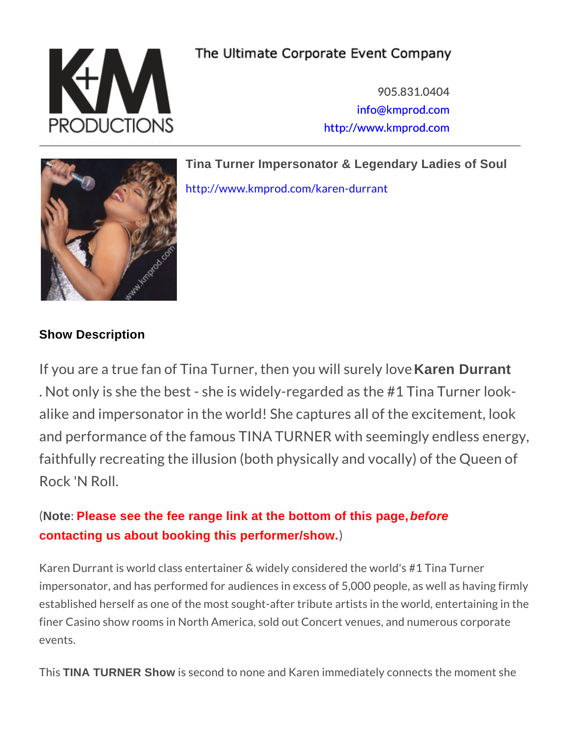905.831.0404 [info@kmpro](mailto:info@kmprod.com)d.com [http://www.kmp](http://www.kmprod.com)rod.com

Tina Turner Impersonator & Legendary Ladies of Soul [http://www.kmprod.com/k](http://www.kmprod.com/karen-durrant)aren-durrant

## Show Description

If you are a true fan of Tina Turner, Karene Duryantu will s . Not only is she the best - she is widely-regarded as alike and impersonator in the world! She captures a and performance of the famous TINA TURNER with s faithfully recreating the illusion (both physically an Rock 'N Roll.

Note: Please see the fee range link at the bottom of this page, before contacting us about booking this performer/show.

Karen Durrant is world class entertainer & widely considered the impersonator, and has performed for audiences in excess of 5,00 established herself as one of the most sought-after tribute artis finer Casino show rooms in North America, sold out Concert ven events.

This TINA TURNER Show is second to none and Karen immediately conne